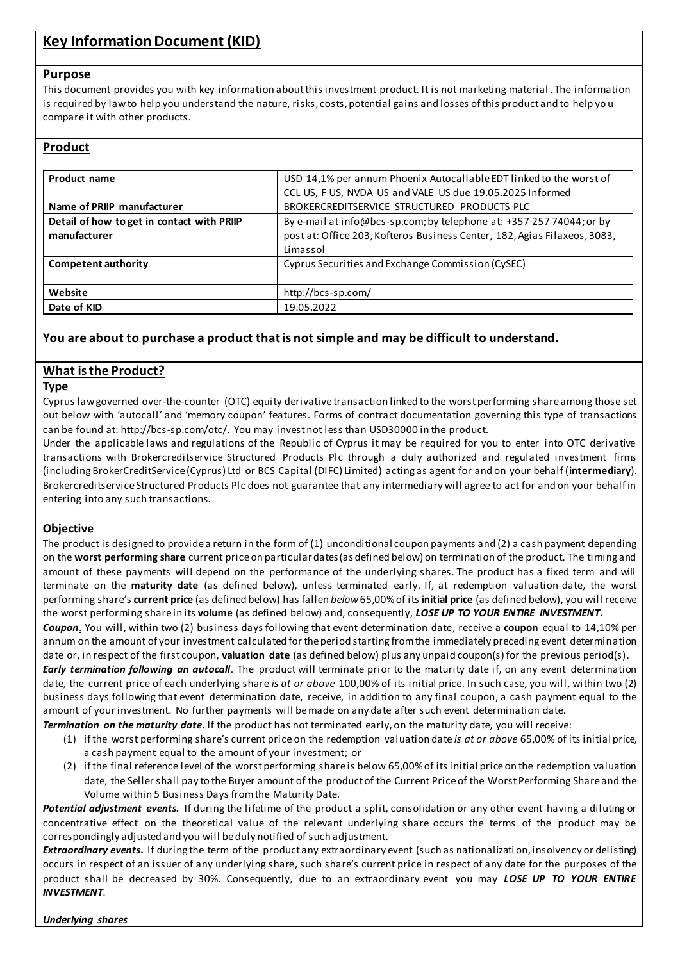# **Key Information Document (KID)**

#### **Purpose**

This document provides you with key information about this investment product. It is not marketing material . The information is required by law to help you understand the nature, risks, costs, potential gains and losses of this product and to help yo u compare it with other products.

# **Product**

| Product name                               | USD 14,1% per annum Phoenix Autocallable EDT linked to the worst of       |  |  |
|--------------------------------------------|---------------------------------------------------------------------------|--|--|
|                                            | CCL US, F US, NVDA US and VALE US due 19.05.2025 Informed                 |  |  |
| Name of PRIIP manufacturer                 | BROKERCREDITSERVICE STRUCTURED PRODUCTS PLC                               |  |  |
| Detail of how to get in contact with PRIIP | By e-mail at info@bcs-sp.com; by telephone at: +357 257 74044; or by      |  |  |
| manufacturer                               | post at: Office 203, Kofteros Business Center, 182, Agias Filaxeos, 3083, |  |  |
|                                            | Limassol                                                                  |  |  |
| Competent authority                        | Cyprus Securities and Exchange Commission (CySEC)                         |  |  |
|                                            |                                                                           |  |  |
| Website                                    | http://bcs-sp.com/                                                        |  |  |
| Date of KID                                | 19.05.2022                                                                |  |  |

# **You are about to purchase a product that is not simple and may be difficult to understand.**

# **What is the Product?**

#### **Type**

Cyprus law governed over-the-counter (OTC) equity derivative transaction linked to the worst performing share among those set out below with 'autocall' and 'memory coupon' features. Forms of contract documentation governing this type of transactions can be found at: http://bcs-sp.com/otc/. You may invest not less than USD30000 in the product.

Under the applicable laws and regulations of the Republic of Cyprus it may be required for you to enter into OTC derivative transactions with Brokercreditservice Structured Products Plc through a duly authorized and regulated investment firms (including BrokerCreditService (Cyprus) Ltd or BCS Capital (DIFC) Limited) acting as agent for and on your behalf (**intermediary**). Brokercreditservice Structured Products Plc does not guarantee that any intermediary will agree to act for and on your behalf in entering into any such transactions.

#### **Objective**

The product is designed to provide a return in the form of (1) unconditional coupon payments and (2) a cash payment depending on the **worst performing share** current price on particular dates(as defined below) on termination of the product. The timing and amount of these payments will depend on the performance of the underlying shares. The product has a fixed term and will terminate on the **maturity date** (as defined below), unless terminated early. If, at redemption valuation date, the worst performing share's **current price** (as defined below) has fallen *below*65,00% of its **initial price** (as defined below), you will receive the worst performing share in its **volume** (as defined below) and, consequently, *LOSE UP TO YOUR ENTIRE INVESTMENT***.**

*Coupon*. You will, within two (2) business days following that event determination date, receive a **coupon** equal to 14,10% per annum on the amount of your investment calculated for the period starting from the immediately preceding event determination date or, in respect of the first coupon, **valuation date** (as defined below) plus any unpaid coupon(s) for the previous period(s).

*Early termination following an autocall*. The product will terminate prior to the maturity date if, on any event determination date, the current price of each underlying share *is at or above* 100,00% of its initial price. In such case, you will, within two (2) business days following that event determination date, receive, in addition to any final coupon, a cash payment equal to the amount of your investment. No further payments will be made on any date after such event determination date.

*Termination on the maturity date.* If the product has not terminated early, on the maturity date, you will receive:

- (1) if the worst performing share's current price on the redemption valuation date *is at or above* 65,00% of its initial price, a cash payment equal to the amount of your investment; or
- (2) if the final reference level of the worst performing share is below 65,00% of its initial price on the redemption valuation date, the Seller shall pay to the Buyer amount of the product of the Current Price of the Worst Performing Share and the Volume within 5 Business Days from the Maturity Date.

*Potential adjustment events.* If during the lifetime of the product a split, consolidation or any other event having a diluting or concentrative effect on the theoretical value of the relevant underlying share occurs the terms of the product may be correspondingly adjusted and you will be duly notified of such adjustment.

*Extraordinary events***.** If during the term of the product any extraordinary event (such as nationalizati on, insolvency or delisting) occurs in respect of an issuer of any underlying share, such share's current price in respect of any date for the purposes of the product shall be decreased by 30%. Consequently, due to an extraordinary event you may *LOSE UP TO YOUR ENTIRE INVESTMENT*.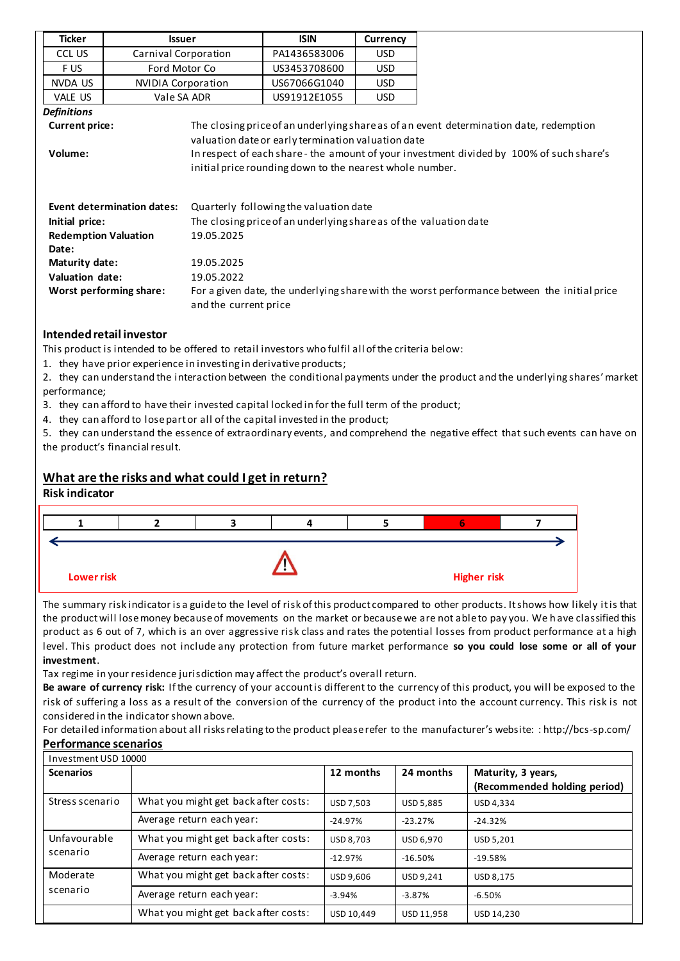| Ticker                                    | <b>Issuer</b>                                                                                                                                   |  | <b>ISIN</b>                                                                                                    | <b>Currency</b> |                                                                                          |  |
|-------------------------------------------|-------------------------------------------------------------------------------------------------------------------------------------------------|--|----------------------------------------------------------------------------------------------------------------|-----------------|------------------------------------------------------------------------------------------|--|
| CCL US                                    | Carnival Corporation                                                                                                                            |  | PA1436583006                                                                                                   | USD             |                                                                                          |  |
| F US                                      | Ford Motor Co                                                                                                                                   |  | US3453708600                                                                                                   | <b>USD</b>      |                                                                                          |  |
| NVDA US                                   | <b>NVIDIA Corporation</b>                                                                                                                       |  | US67066G1040                                                                                                   | <b>USD</b>      |                                                                                          |  |
| VALE US                                   | Vale SA ADR                                                                                                                                     |  | US91912E1055                                                                                                   | <b>USD</b>      |                                                                                          |  |
| <b>Definitions</b>                        |                                                                                                                                                 |  |                                                                                                                |                 |                                                                                          |  |
| <b>Current price:</b>                     |                                                                                                                                                 |  |                                                                                                                |                 | The closing price of an underlying share as of an event determination date, redemption   |  |
| Volume:                                   |                                                                                                                                                 |  | valuation date or early termination valuation date<br>initial price rounding down to the nearest whole number. |                 | In respect of each share - the amount of your investment divided by 100% of such share's |  |
|                                           | <b>Event determination dates:</b>                                                                                                               |  | Quarterly following the valuation date                                                                         |                 |                                                                                          |  |
| Initial price:                            |                                                                                                                                                 |  | The closing price of an underlying share as of the valuation date                                              |                 |                                                                                          |  |
| 19.05.2025<br><b>Redemption Valuation</b> |                                                                                                                                                 |  |                                                                                                                |                 |                                                                                          |  |
| Date:                                     |                                                                                                                                                 |  |                                                                                                                |                 |                                                                                          |  |
| 19.05.2025<br>Maturity date:              |                                                                                                                                                 |  |                                                                                                                |                 |                                                                                          |  |
|                                           | Valuation date:<br>19.05.2022                                                                                                                   |  |                                                                                                                |                 |                                                                                          |  |
|                                           | For a given date, the underlying share with the worst performance between the initial price<br>Worst performing share:<br>and the current price |  |                                                                                                                |                 |                                                                                          |  |
|                                           | Intended retail investor                                                                                                                        |  |                                                                                                                |                 |                                                                                          |  |

This product is intended to be offered to retail investors who fulfil all of the criteria below:

1. they have prior experience in investing in derivative products;

2. they can understand the interaction between the conditional payments under the product and the underlying shares' market performance;

- 3. they can afford to have their invested capital locked in for the full term of the product;
- 4. they can afford to lose part or all of the capital invested in the product;

5. they can understand the essence of extraordinary events, and comprehend the negative effect that such events can have on the product's financial result.

# **What are the risks and what could I get in return?**

#### **Risk indicator**



The summary risk indicator is a guide to the level of risk of this product compared to other products. It shows how likely it is that the product will lose money because of movements on the market or because we are not able to pay you. We h ave classified this product as 6 out of 7, which is an over aggressive risk class and rates the potential losses from product performance at a high level. This product does not include any protection from future market performance **so you could lose some or all of your investment**.

Tax regime in your residence jurisdiction may affect the product's overall return.

**Be aware of currency risk:** If the currency of your account is different to the currency of this product, you will be exposed to the risk of suffering a loss as a result of the conversion of the currency of the product into the account currency. This risk is not considered in the indicator shown above.

For detailed information about all risks relating to the product please refer to the manufacturer's website: : http://bcs-sp.com/ **Performance scenarios**

| Investment USD 10000     |                                      |                  |                  |                                                    |
|--------------------------|--------------------------------------|------------------|------------------|----------------------------------------------------|
| <b>Scenarios</b>         |                                      | 12 months        | 24 months        | Maturity, 3 years,<br>(Recommended holding period) |
| Stress scenario          | What you might get back after costs: | USD 7,503        | <b>USD 5,885</b> | USD 4,334                                          |
|                          | Average return each year:            | $-24.97%$        | $-23.27%$        | $-24.32%$                                          |
| Unfavourable<br>scenario | What you might get back after costs: | <b>USD 8.703</b> | USD 6.970        | USD 5,201                                          |
|                          | Average return each year:            | $-12.97%$        | $-16.50%$        | $-19.58%$                                          |
| Moderate                 | What you might get back after costs: | USD 9,606        | USD 9,241        | <b>USD 8.175</b>                                   |
| scenario                 | Average return each year:            | $-3.94%$         | $-3.87%$         | $-6.50%$                                           |
|                          | What you might get back after costs: | USD 10.449       | USD 11,958       | USD 14.230                                         |